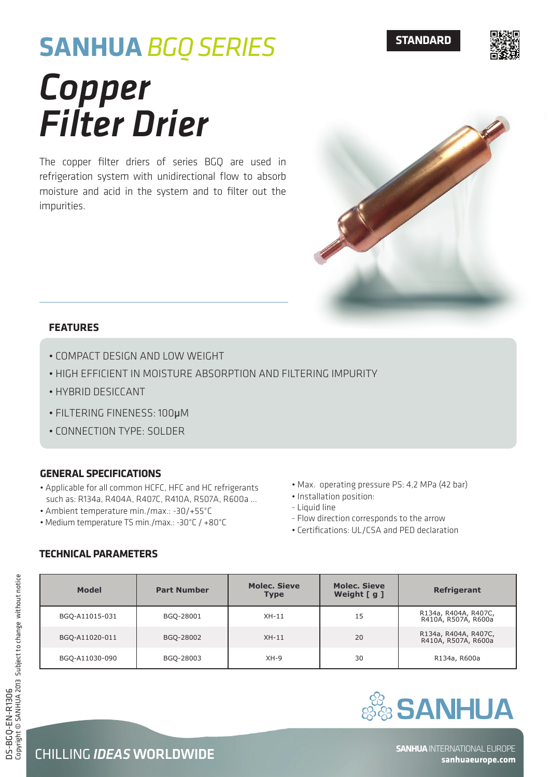### **STANDARD**



# **SANHUA** *BGQ SERIES Copper Filter Drier*

The copper filter driers of series BGQ are used in refrigeration system with unidirectional flow to absorb moisture and acid in the system and to filter out the impurities.



#### **FEATURES**

- Compact design and low weight
- High efficient in moisture absorption and filtering impurity
- Hybrid desiccant
- Filtering fineness: 100μm
- Connection type: solder

#### **General Specifications**

- Applicable for all common HCFC, HFC and HC refrigerants such as: R134a, R404A, R407C, R410A, R507A, R600a …
- Ambient temperature min./max.: -30/+55°C
- Medium temperature TS min./max.: -30°C / +80°C
- Max. operating pressure PS: 4,2 MPa (42 bar)
- Installation position:
- Liquid line
- Flow direction corresponds to the arrow
- Certifications: UL/CSA and PED declaration

|  | <b>TECHNICAL PARAMETERS</b> |
|--|-----------------------------|
|--|-----------------------------|

| <b>Model</b>   | <b>Part Number</b> | <b>Molec. Sieve</b><br><b>Type</b> | <b>Molec. Sieve</b><br>Weight [ g ] | <b>Refrigerant</b>                          |  |
|----------------|--------------------|------------------------------------|-------------------------------------|---------------------------------------------|--|
| BGQ-A11015-031 | BGQ-28001          | $XH-11$                            | 15                                  | R134a, R404A, R407C,<br>R410A, R507A, R600a |  |
| BGQ-A11020-011 | BGQ-28002          | $XH-11$                            | 20                                  | R134a, R404A, R407C,<br>R410A, R507A, R600a |  |
| BGQ-A11030-090 | BGQ-28003          | $XH-9$                             | 30                                  | R134a, R600a                                |  |



**sanhuaeurope.com**